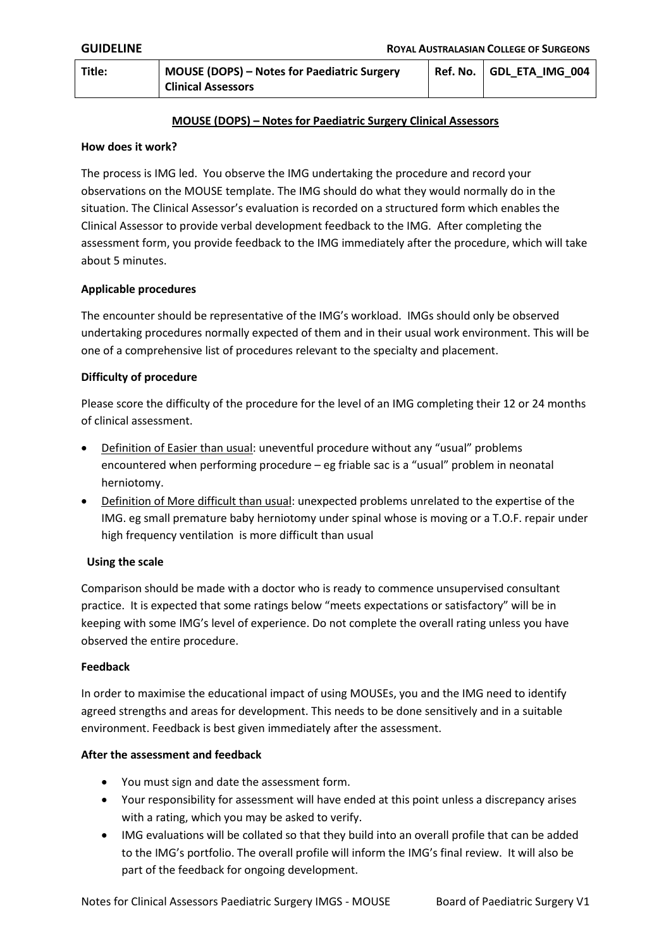| Title: | <b>MOUSE (DOPS) – Notes for Paediatric Surgery</b> | Ref. No. GDL ETA IMG 004 |
|--------|----------------------------------------------------|--------------------------|
|        | <b>Clinical Assessors</b>                          |                          |

### **MOUSE (DOPS) – Notes for Paediatric Surgery Clinical Assessors**

### **How does it work?**

The process is IMG led. You observe the IMG undertaking the procedure and record your observations on the MOUSE template. The IMG should do what they would normally do in the situation. The Clinical Assessor's evaluation is recorded on a structured form which enables the Clinical Assessor to provide verbal development feedback to the IMG. After completing the assessment form, you provide feedback to the IMG immediately after the procedure, which will take about 5 minutes.

### **Applicable procedures**

The encounter should be representative of the IMG's workload. IMGs should only be observed undertaking procedures normally expected of them and in their usual work environment. This will be one of a comprehensive list of procedures relevant to the specialty and placement.

### **Difficulty of procedure**

Please score the difficulty of the procedure for the level of an IMG completing their 12 or 24 months of clinical assessment.

- Definition of Easier than usual: uneventful procedure without any "usual" problems encountered when performing procedure – eg friable sac is a "usual" problem in neonatal herniotomy.
- Definition of More difficult than usual: unexpected problems unrelated to the expertise of the IMG. eg small premature baby herniotomy under spinal whose is moving or a T.O.F. repair under high frequency ventilation is more difficult than usual

# **Using the scale**

Comparison should be made with a doctor who is ready to commence unsupervised consultant practice. It is expected that some ratings below "meets expectations or satisfactory" will be in keeping with some IMG's level of experience. Do not complete the overall rating unless you have observed the entire procedure.

#### **Feedback**

In order to maximise the educational impact of using MOUSEs, you and the IMG need to identify agreed strengths and areas for development. This needs to be done sensitively and in a suitable environment. Feedback is best given immediately after the assessment.

#### **After the assessment and feedback**

- You must sign and date the assessment form.
- Your responsibility for assessment will have ended at this point unless a discrepancy arises with a rating, which you may be asked to verify.
- IMG evaluations will be collated so that they build into an overall profile that can be added to the IMG's portfolio. The overall profile will inform the IMG's final review. It will also be part of the feedback for ongoing development.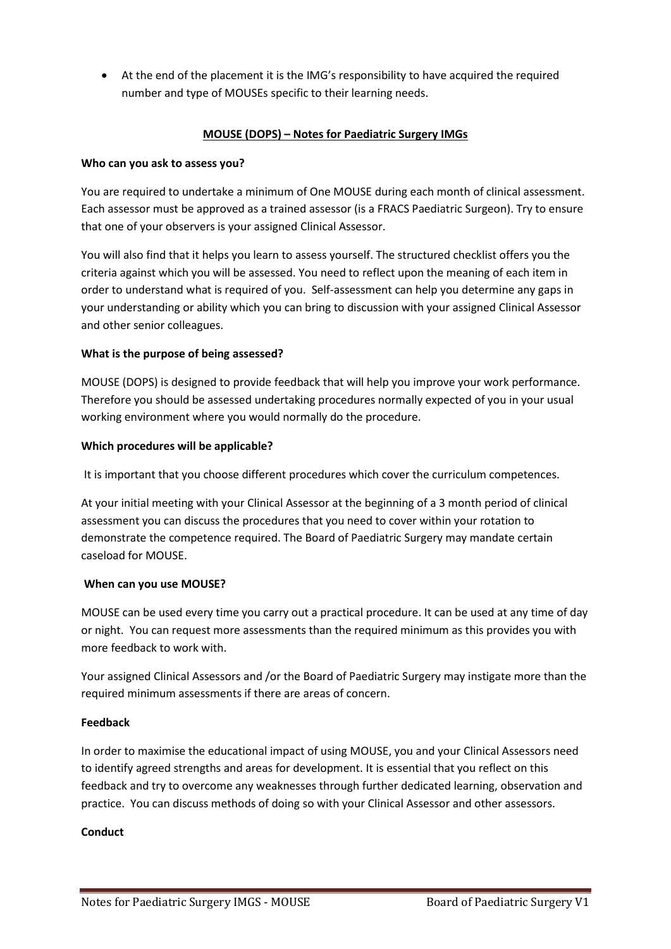At the end of the placement it is the IMG's responsibility to have acquired the required number and type of MOUSEs specific to their learning needs.

# **MOUSE (DOPS) – Notes for Paediatric Surgery IMGs**

### **Who can you ask to assess you?**

You are required to undertake a minimum of One MOUSE during each month of clinical assessment. Each assessor must be approved as a trained assessor (is a FRACS Paediatric Surgeon). Try to ensure that one of your observers is your assigned Clinical Assessor.

You will also find that it helps you learn to assess yourself. The structured checklist offers you the criteria against which you will be assessed. You need to reflect upon the meaning of each item in order to understand what is required of you. Self-assessment can help you determine any gaps in your understanding or ability which you can bring to discussion with your assigned Clinical Assessor and other senior colleagues.

# **What is the purpose of being assessed?**

MOUSE (DOPS) is designed to provide feedback that will help you improve your work performance. Therefore you should be assessed undertaking procedures normally expected of you in your usual working environment where you would normally do the procedure.

# **Which procedures will be applicable?**

It is important that you choose different procedures which cover the curriculum competences.

At your initial meeting with your Clinical Assessor at the beginning of a 3 month period of clinical assessment you can discuss the procedures that you need to cover within your rotation to demonstrate the competence required. The Board of Paediatric Surgery may mandate certain caseload for MOUSE.

# **When can you use MOUSE?**

MOUSE can be used every time you carry out a practical procedure. It can be used at any time of day or night. You can request more assessments than the required minimum as this provides you with more feedback to work with.

Your assigned Clinical Assessors and /or the Board of Paediatric Surgery may instigate more than the required minimum assessments if there are areas of concern.

# **Feedback**

In order to maximise the educational impact of using MOUSE, you and your Clinical Assessors need to identify agreed strengths and areas for development. It is essential that you reflect on this feedback and try to overcome any weaknesses through further dedicated learning, observation and practice. You can discuss methods of doing so with your Clinical Assessor and other assessors.

# **Conduct**